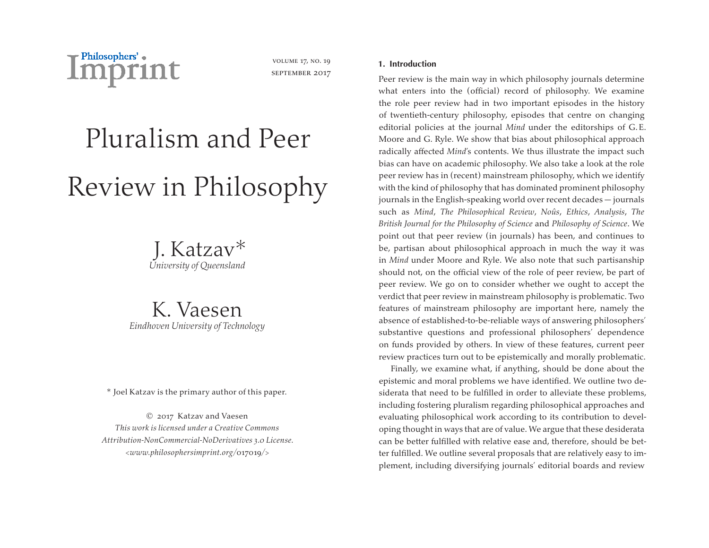

volume 17, no. 19 september 2017

# Pluralism and Peer Review in Philosophy

J. Katzav\* *University of Queensland*

K. Vaesen *Eindhoven University of Technology*

\* Joel Katzav is the primary author of this paper.

© 2017 Katzav and Vaesen *This work is licensed under a Creative Commons Attribution-NonCommercial-NoDerivatives 3.0 License. <www.philosophersimprint.org/*017019*/>*

# **1. Introduction**

Peer review is the main way in which philosophy journals determine what enters into the (official) record of philosophy. We examine the role peer review had in two important episodes in the history of twentieth-century philosophy, episodes that centre on changing editorial policies at the journal *Mind* under the editorships of G.E. Moore and G. Ryle. We show that bias about philosophical approach radically affected *Mind*'s contents. We thus illustrate the impact such bias can have on academic philosophy. We also take a look at the role peer review has in (recent) mainstream philosophy, which we identify with the kind of philosophy that has dominated prominent philosophy journals in the English-speaking world over recent decades — journals such as *Mind*, *The Philosophical Review*, *Noûs*, *Ethics*, *Analysis*, *The British Journal for the Philosophy of Science* and *Philosophy of Science*. We point out that peer review (in journals) has been, and continues to be, partisan about philosophical approach in much the way it was in *Mind* under Moore and Ryle. We also note that such partisanship should not, on the official view of the role of peer review, be part of peer review. We go on to consider whether we ought to accept the verdict that peer review in mainstream philosophy is problematic. Two features of mainstream philosophy are important here, namely the absence of established-to-be-reliable ways of answering philosophers' substantive questions and professional philosophers' dependence on funds provided by others. In view of these features, current peer review practices turn out to be epistemically and morally problematic.

Finally, we examine what, if anything, should be done about the epistemic and moral problems we have identified. We outline two desiderata that need to be fulfilled in order to alleviate these problems, including fostering pluralism regarding philosophical approaches and evaluating philosophical work according to its contribution to developing thought in ways that are of value.We argue that these desiderata can be better fulfilled with relative ease and, therefore, should be better fulfilled. We outline several proposals that are relatively easy to implement, including diversifying journals' editorial boards and review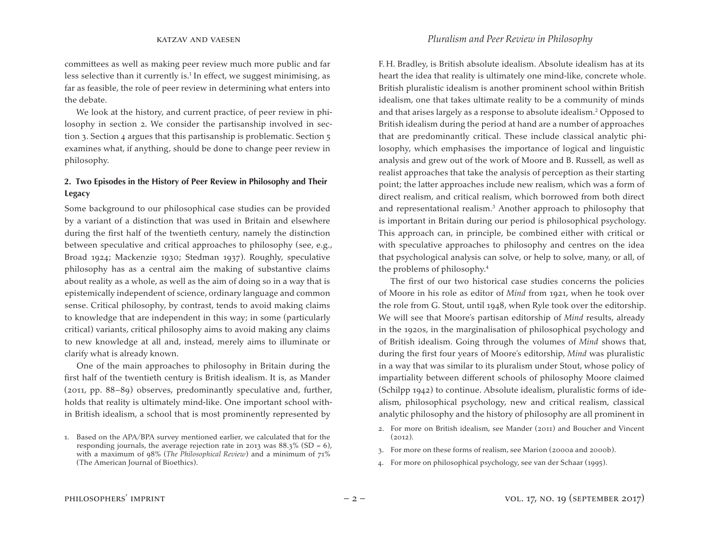committees as well as making peer review much more public and far less selective than it currently is.<sup>1</sup> In effect, we suggest minimising, as far as feasible, the role of peer review in determining what enters into the debate.

We look at the history, and current practice, of peer review in philosophy in section 2. We consider the partisanship involved in section 3. Section 4 argues that this partisanship is problematic. Section 5 examines what, if anything, should be done to change peer review in philosophy.

# **2. Two Episodes in the History of Peer Review in Philosophy and Their Legacy**

Some background to our philosophical case studies can be provided by a variant of a distinction that was used in Britain and elsewhere during the first half of the twentieth century, namely the distinction between speculative and critical approaches to philosophy (see, e.g., Broad 1924; Mackenzie 1930; Stedman 1937). Roughly, speculative philosophy has as a central aim the making of substantive claims about reality as a whole, as well as the aim of doing so in a way that is epistemically independent of science, ordinary language and common sense. Critical philosophy, by contrast, tends to avoid making claims to knowledge that are independent in this way; in some (particularly critical) variants, critical philosophy aims to avoid making any claims to new knowledge at all and, instead, merely aims to illuminate or clarify what is already known.

One of the main approaches to philosophy in Britain during the first half of the twentieth century is British idealism. It is, as Mander (2011, pp. 88–89) observes, predominantly speculative and, further, holds that reality is ultimately mind-like. One important school within British idealism, a school that is most prominently represented by

F. H. Bradley, is British absolute idealism. Absolute idealism has at its heart the idea that reality is ultimately one mind-like, concrete whole. British pluralistic idealism is another prominent school within British idealism, one that takes ultimate reality to be a community of minds and that arises largely as a response to absolute idealism.2 Opposed to British idealism during the period at hand are a number of approaches that are predominantly critical. These include classical analytic philosophy, which emphasises the importance of logical and linguistic analysis and grew out of the work of Moore and B. Russell, as well as realist approaches that take the analysis of perception as their starting point; the latter approaches include new realism, which was a form of direct realism, and critical realism, which borrowed from both direct and representational realism.3 Another approach to philosophy that is important in Britain during our period is philosophical psychology. This approach can, in principle, be combined either with critical or with speculative approaches to philosophy and centres on the idea that psychological analysis can solve, or help to solve, many, or all, of the problems of philosophy.4

The first of our two historical case studies concerns the policies of Moore in his role as editor of *Mind* from 1921, when he took over the role from G. Stout, until 1948, when Ryle took over the editorship. We will see that Moore's partisan editorship of *Mind* results, already in the 1920s, in the marginalisation of philosophical psychology and of British idealism. Going through the volumes of *Mind* shows that, during the first four years of Moore's editorship, *Mind* was pluralistic in a way that was similar to its pluralism under Stout, whose policy of impartiality between different schools of philosophy Moore claimed (Schilpp 1942) to continue. Absolute idealism, pluralistic forms of idealism, philosophical psychology, new and critical realism, classical analytic philosophy and the history of philosophy are all prominent in

- 2. For more on British idealism, see Mander (2011) and Boucher and Vincent  $(2012).$
- 3. For more on these forms of realism, see Marion (2000a and 2000b).
- 4. For more on philosophical psychology, see van der Schaar (1995).

<sup>1.</sup> Based on the APA/BPA survey mentioned earlier, we calculated that for the responding journals, the average rejection rate in 2013 was  $88.3\%$  (SD = 6), with a maximum of 98% (*The Philosophical Review*) and a minimum of 71% (The American Journal of Bioethics).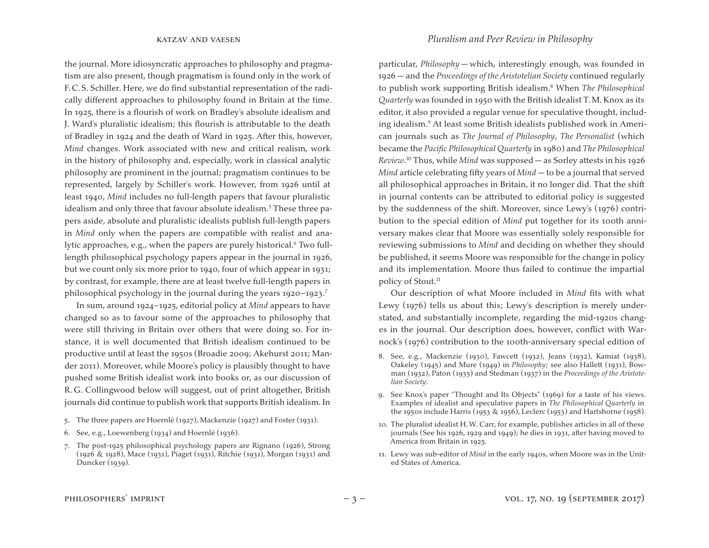the journal. More idiosyncratic approaches to philosophy and pragmatism are also present, though pragmatism is found only in the work of F.C.S. Schiller. Here, we do find substantial representation of the radically different approaches to philosophy found in Britain at the time. In 1925, there is a flourish of work on Bradley's absolute idealism and J. Ward's pluralistic idealism; this flourish is attributable to the death of Bradley in 1924 and the death of Ward in 1925. After this, however, *Mind* changes. Work associated with new and critical realism, work in the history of philosophy and, especially, work in classical analytic philosophy are prominent in the journal; pragmatism continues to be represented, largely by Schiller's work. However, from 1926 until at least 1940, *Mind* includes no full-length papers that favour pluralistic idealism and only three that favour absolute idealism.<sup>5</sup> These three papers aside, absolute and pluralistic idealists publish full-length papers in *Mind* only when the papers are compatible with realist and analytic approaches, e.g., when the papers are purely historical.<sup>6</sup> Two fulllength philosophical psychology papers appear in the journal in 1926, but we count only six more prior to 1940, four of which appear in 1931; by contrast, for example, there are at least twelve full-length papers in philosophical psychology in the journal during the years  $1920-1923$ .<sup>7</sup>

In sum, around 1924–1925, editorial policy at *Mind* appears to have changed so as to favour some of the approaches to philosophy that were still thriving in Britain over others that were doing so. For instance, it is well documented that British idealism continued to be productive until at least the 1950s (Broadie 2009; Akehurst 2011; Mander 2011). Moreover, while Moore's policy is plausibly thought to have pushed some British idealist work into books or, as our discussion of R.G. Collingwood below will suggest, out of print altogether, British journals did continue to publish work that supports British idealism. In

- 5. The three papers are Hoernlé (1927), Mackenzie (1927) and Foster (1931).
- 6. See, e.g., Loewenberg (1934) and Hoernlé (1936).
- 7. The post-1925 philosophical psychology papers are Rignano (1926), Strong (1926 & 1928), Mace (1931), Piaget (1931), Ritchie (1931), Morgan (1931) and Duncker (1939).

particular, *Philosophy* — which, interestingly enough, was founded in 1926 — and the *Proceedings of the Aristotelian Society* continued regularly to publish work supporting British idealism.8 When *The Philosophical Quarterly* was founded in 1950 with the British idealist T.M. Knox as its editor, it also provided a regular venue for speculative thought, including idealism.9 At least some British idealists published work in American journals such as *The Journal of Philosophy*, *The Personalist* (which became the *Pacific Philosophical Quarterly* in 1980) and *The Philosophical Review*. <sup>10</sup> Thus, while *Mind* was supposed — as Sorley attests in his 1926 *Mind* article celebrating fifty years of *Mind* — to be a journal that served all philosophical approaches in Britain, it no longer did. That the shift in journal contents can be attributed to editorial policy is suggested by the suddenness of the shift. Moreover, since Lewy's (1976) contribution to the special edition of *Mind* put together for its 100th anniversary makes clear that Moore was essentially solely responsible for reviewing submissions to *Mind* and deciding on whether they should be published, it seems Moore was responsible for the change in policy and its implementation. Moore thus failed to continue the impartial policy of Stout.<sup>11</sup>

Our description of what Moore included in *Mind* fits with what Lewy (1976) tells us about this; Lewy's description is merely understated, and substantially incomplete, regarding the mid-1920s changes in the journal. Our description does, however, conflict with Warnock's (1976) contribution to the 100th-anniversary special edition of

- 8. See, e.g., Mackenzie (1930), Fawcett (1932), Jeans (1932), Kamiat (1938), Oakeley (1945) and Mure (1949) in *Philosophy*; see also Hallett (1931), Bowman (1932), Paton (1935) and Stedman (1937) in the *Proceedings of the Aristotelian Society*.
- 9. See Knox's paper "Thought and Its Objects" (1969) for a taste of his views. Examples of idealist and speculative papers in *The Philosophical Quarterly* in the 1950s include Harris (1953 & 1956), Leclerc (1953) and Hartshorne (1958).
- 10. The pluralist idealist H.W. Carr, for example, publishes articles in all of these journals (See his 1926, 1929 and 1949); he dies in 1931, after having moved to America from Britain in 1925.
- 11. Lewy was sub-editor of *Mind* in the early 1940s, when Moore was in the United States of America.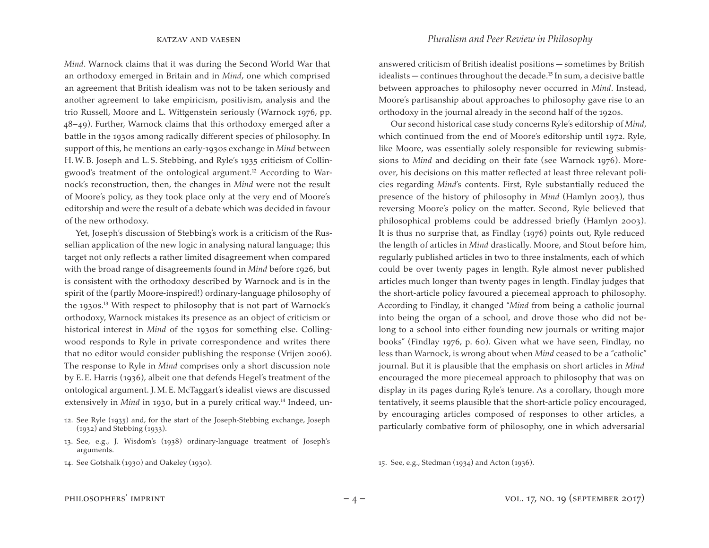*Mind*. Warnock claims that it was during the Second World War that an orthodoxy emerged in Britain and in *Mind*, one which comprised an agreement that British idealism was not to be taken seriously and another agreement to take empiricism, positivism, analysis and the trio Russell, Moore and L. Wittgenstein seriously (Warnock 1976, pp. 48–49). Further, Warnock claims that this orthodoxy emerged after a battle in the 1930s among radically different species of philosophy. In support of this, he mentions an early-1930s exchange in *Mind* between H.W.B. Joseph and L.S. Stebbing, and Ryle's 1935 criticism of Collingwood's treatment of the ontological argument.<sup>12</sup> According to Warnock's reconstruction, then, the changes in *Mind* were not the result of Moore's policy, as they took place only at the very end of Moore's editorship and were the result of a debate which was decided in favour of the new orthodoxy.

Yet, Joseph's discussion of Stebbing's work is a criticism of the Russellian application of the new logic in analysing natural language; this target not only reflects a rather limited disagreement when compared with the broad range of disagreements found in *Mind* before 1926, but is consistent with the orthodoxy described by Warnock and is in the spirit of the (partly Moore-inspired!) ordinary-language philosophy of the 1930s.13 With respect to philosophy that is not part of Warnock's orthodoxy, Warnock mistakes its presence as an object of criticism or historical interest in *Mind* of the 1930s for something else. Collingwood responds to Ryle in private correspondence and writes there that no editor would consider publishing the response (Vrijen 2006). The response to Ryle in *Mind* comprises only a short discussion note by E.E. Harris (1936), albeit one that defends Hegel's treatment of the ontological argument. J.M.E. McTaggart's idealist views are discussed extensively in *Mind* in 1930, but in a purely critical way.<sup>14</sup> Indeed, un-

- 13. See, e.g., J. Wisdom's (1938) ordinary-language treatment of Joseph's arguments.
- 14. See Gotshalk (1930) and Oakeley (1930).

answered criticism of British idealist positions — sometimes by British idealists — continues throughout the decade.<sup>15</sup> In sum, a decisive battle between approaches to philosophy never occurred in *Mind*. Instead, Moore's partisanship about approaches to philosophy gave rise to an orthodoxy in the journal already in the second half of the 1920s.

Our second historical case study concerns Ryle's editorship of *Mind*, which continued from the end of Moore's editorship until 1972. Ryle, like Moore, was essentially solely responsible for reviewing submissions to *Mind* and deciding on their fate (see Warnock 1976). Moreover, his decisions on this matter reflected at least three relevant policies regarding *Mind*'s contents. First, Ryle substantially reduced the presence of the history of philosophy in *Mind* (Hamlyn 2003), thus reversing Moore's policy on the matter. Second, Ryle believed that philosophical problems could be addressed briefly (Hamlyn 2003). It is thus no surprise that, as Findlay (1976) points out, Ryle reduced the length of articles in *Mind* drastically. Moore, and Stout before him, regularly published articles in two to three instalments, each of which could be over twenty pages in length. Ryle almost never published articles much longer than twenty pages in length. Findlay judges that the short-article policy favoured a piecemeal approach to philosophy. According to Findlay, it changed "*Mind* from being a catholic journal into being the organ of a school, and drove those who did not belong to a school into either founding new journals or writing major books" (Findlay 1976, p. 60). Given what we have seen, Findlay, no less than Warnock, is wrong about when *Mind* ceased to be a "catholic" journal. But it is plausible that the emphasis on short articles in *Mind* encouraged the more piecemeal approach to philosophy that was on display in its pages during Ryle's tenure. As a corollary, though more tentatively, it seems plausible that the short-article policy encouraged, by encouraging articles composed of responses to other articles, a particularly combative form of philosophy, one in which adversarial

15. See, e.g., Stedman (1934) and Acton (1936).

<sup>12.</sup> See Ryle (1935) and, for the start of the Joseph-Stebbing exchange, Joseph (1932) and Stebbing (1933).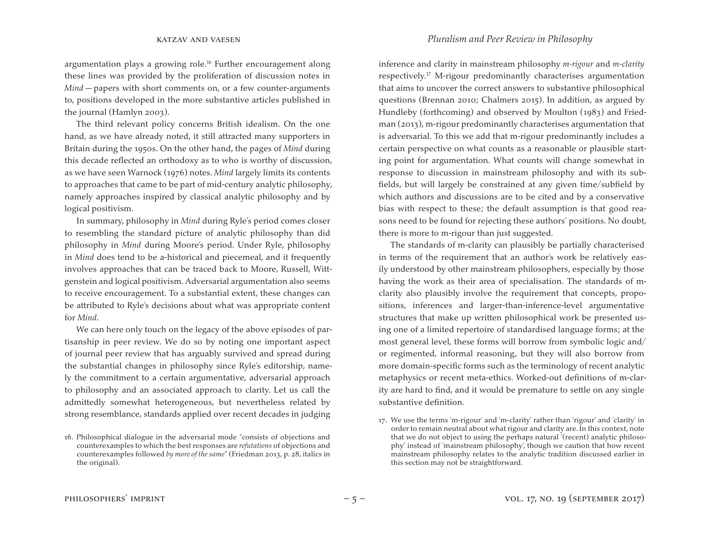argumentation plays a growing role.<sup>16</sup> Further encouragement along these lines was provided by the proliferation of discussion notes in *Mind* — papers with short comments on, or a few counter-arguments to, positions developed in the more substantive articles published in the journal (Hamlyn 2003).

The third relevant policy concerns British idealism. On the one hand, as we have already noted, it still attracted many supporters in Britain during the 1950s. On the other hand, the pages of *Mind* during this decade reflected an orthodoxy as to who is worthy of discussion, as we have seen Warnock (1976) notes. *Mind* largely limits its contents to approaches that came to be part of mid-century analytic philosophy, namely approaches inspired by classical analytic philosophy and by logical positivism.

In summary, philosophy in *Mind* during Ryle's period comes closer to resembling the standard picture of analytic philosophy than did philosophy in *Mind* during Moore's period. Under Ryle, philosophy in *Mind* does tend to be a-historical and piecemeal, and it frequently involves approaches that can be traced back to Moore, Russell, Wittgenstein and logical positivism. Adversarial argumentation also seems to receive encouragement. To a substantial extent, these changes can be attributed to Ryle's decisions about what was appropriate content for *Mind*.

We can here only touch on the legacy of the above episodes of partisanship in peer review. We do so by noting one important aspect of journal peer review that has arguably survived and spread during the substantial changes in philosophy since Ryle's editorship, namely the commitment to a certain argumentative, adversarial approach to philosophy and an associated approach to clarity. Let us call the admittedly somewhat heterogeneous, but nevertheless related by strong resemblance, standards applied over recent decades in judging

inference and clarity in mainstream philosophy *m-rigour* and *m-clarity* respectively.17 M-rigour predominantly characterises argumentation that aims to uncover the correct answers to substantive philosophical questions (Brennan 2010; Chalmers 2015). In addition, as argued by Hundleby (forthcoming) and observed by Moulton (1983) and Friedman (2013), m-rigour predominantly characterises argumentation that is adversarial. To this we add that m-rigour predominantly includes a certain perspective on what counts as a reasonable or plausible starting point for argumentation. What counts will change somewhat in response to discussion in mainstream philosophy and with its subfields, but will largely be constrained at any given time/subfield by which authors and discussions are to be cited and by a conservative bias with respect to these; the default assumption is that good reasons need to be found for rejecting these authors' positions. No doubt, there is more to m-rigour than just suggested.

The standards of m-clarity can plausibly be partially characterised in terms of the requirement that an author's work be relatively easily understood by other mainstream philosophers, especially by those having the work as their area of specialisation. The standards of mclarity also plausibly involve the requirement that concepts, propositions, inferences and larger-than-inference-level argumentative structures that make up written philosophical work be presented using one of a limited repertoire of standardised language forms; at the most general level, these forms will borrow from symbolic logic and/ or regimented, informal reasoning, but they will also borrow from more domain-specific forms such as the terminology of recent analytic metaphysics or recent meta-ethics. Worked-out definitions of m-clarity are hard to find, and it would be premature to settle on any single substantive definition.

<sup>16.</sup> Philosophical dialogue in the adversarial mode "consists of objections and counterexamples to which the best responses are *refutations* of objections and counterexamples followed *by more of the same*" (Friedman 2013, p. 28, italics in the original).

<sup>17.</sup> We use the terms 'm-rigour' and 'm-clarity' rather than 'rigour' and 'clarity' in order to remain neutral about what rigour and clarity are. In this context, note that we do not object to using the perhaps natural '(recent) analytic philosophy' instead of 'mainstream philosophy', though we caution that how recent mainstream philosophy relates to the analytic tradition discussed earlier in this section may not be straightforward.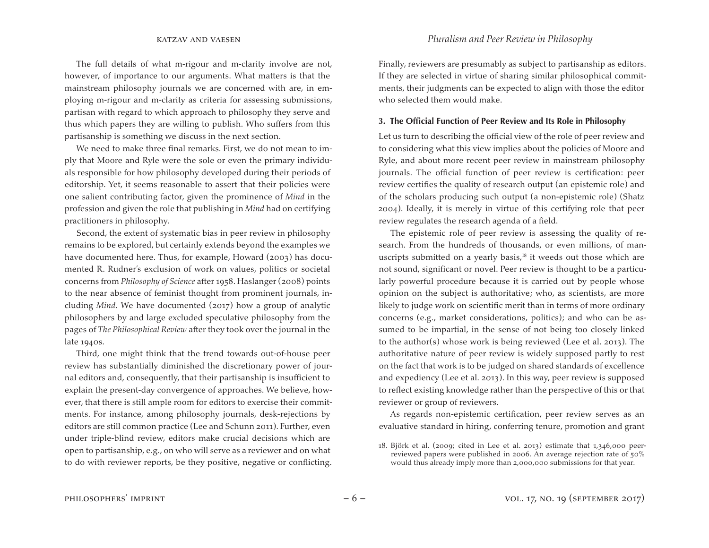The full details of what m-rigour and m-clarity involve are not, however, of importance to our arguments. What matters is that the mainstream philosophy journals we are concerned with are, in employing m-rigour and m-clarity as criteria for assessing submissions, partisan with regard to which approach to philosophy they serve and thus which papers they are willing to publish. Who suffers from this partisanship is something we discuss in the next section.

We need to make three final remarks. First, we do not mean to imply that Moore and Ryle were the sole or even the primary individuals responsible for how philosophy developed during their periods of editorship. Yet, it seems reasonable to assert that their policies were one salient contributing factor, given the prominence of *Mind* in the profession and given the role that publishing in *Mind* had on certifying practitioners in philosophy.

Second, the extent of systematic bias in peer review in philosophy remains to be explored, but certainly extends beyond the examples we have documented here. Thus, for example, Howard (2003) has documented R. Rudner's exclusion of work on values, politics or societal concerns from *Philosophy of Science* after 1958. Haslanger (2008) points to the near absence of feminist thought from prominent journals, including *Mind*. We have documented (2017) how a group of analytic philosophers by and large excluded speculative philosophy from the pages of *The Philosophical Review* after they took over the journal in the late 1940s.

Third, one might think that the trend towards out-of-house peer review has substantially diminished the discretionary power of journal editors and, consequently, that their partisanship is insufficient to explain the present-day convergence of approaches. We believe, however, that there is still ample room for editors to exercise their commitments. For instance, among philosophy journals, desk-rejections by editors are still common practice (Lee and Schunn 2011). Further, even under triple-blind review, editors make crucial decisions which are open to partisanship, e.g., on who will serve as a reviewer and on what to do with reviewer reports, be they positive, negative or conflicting.

Finally, reviewers are presumably as subject to partisanship as editors. If they are selected in virtue of sharing similar philosophical commitments, their judgments can be expected to align with those the editor who selected them would make.

### **3. The Official Function of Peer Review and Its Role in Philosophy**

Let us turn to describing the official view of the role of peer review and to considering what this view implies about the policies of Moore and Ryle, and about more recent peer review in mainstream philosophy journals. The official function of peer review is certification: peer review certifies the quality of research output (an epistemic role) and of the scholars producing such output (a non-epistemic role) (Shatz 2004). Ideally, it is merely in virtue of this certifying role that peer review regulates the research agenda of a field.

The epistemic role of peer review is assessing the quality of research. From the hundreds of thousands, or even millions, of manuscripts submitted on a yearly basis, $18$  it weeds out those which are not sound, significant or novel. Peer review is thought to be a particularly powerful procedure because it is carried out by people whose opinion on the subject is authoritative; who, as scientists, are more likely to judge work on scientific merit than in terms of more ordinary concerns (e.g., market considerations, politics); and who can be assumed to be impartial, in the sense of not being too closely linked to the author(s) whose work is being reviewed (Lee et al. 2013). The authoritative nature of peer review is widely supposed partly to rest on the fact that work is to be judged on shared standards of excellence and expediency (Lee et al. 2013). In this way, peer review is supposed to reflect existing knowledge rather than the perspective of this or that reviewer or group of reviewers.

As regards non-epistemic certification, peer review serves as an evaluative standard in hiring, conferring tenure, promotion and grant

<sup>18.</sup> Björk et al. (2009; cited in Lee et al. 2013) estimate that  $1,346,000$  peerreviewed papers were published in 2006. An average rejection rate of 50% would thus already imply more than 2,000,000 submissions for that year.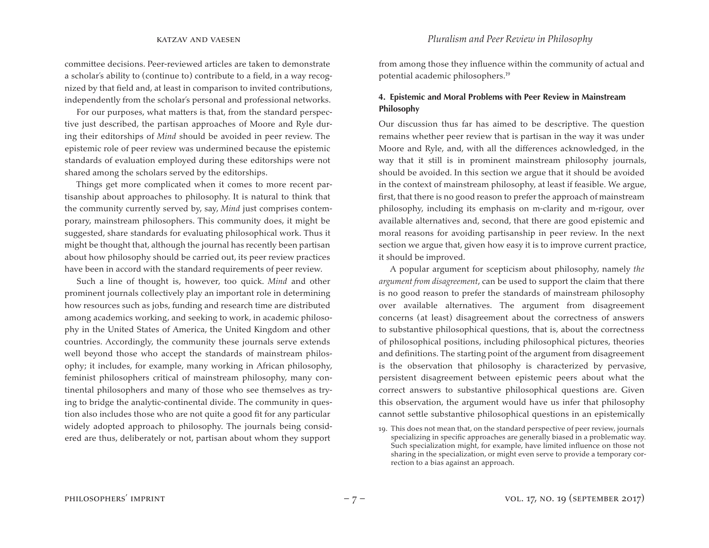committee decisions. Peer-reviewed articles are taken to demonstrate a scholar's ability to (continue to) contribute to a field, in a way recognized by that field and, at least in comparison to invited contributions, independently from the scholar's personal and professional networks.

For our purposes, what matters is that, from the standard perspective just described, the partisan approaches of Moore and Ryle during their editorships of *Mind* should be avoided in peer review. The epistemic role of peer review was undermined because the epistemic standards of evaluation employed during these editorships were not shared among the scholars served by the editorships.

Things get more complicated when it comes to more recent partisanship about approaches to philosophy. It is natural to think that the community currently served by, say, *Mind* just comprises contemporary, mainstream philosophers. This community does, it might be suggested, share standards for evaluating philosophical work. Thus it might be thought that, although the journal has recently been partisan about how philosophy should be carried out, its peer review practices have been in accord with the standard requirements of peer review.

Such a line of thought is, however, too quick. *Mind* and other prominent journals collectively play an important role in determining how resources such as jobs, funding and research time are distributed among academics working, and seeking to work, in academic philosophy in the United States of America, the United Kingdom and other countries. Accordingly, the community these journals serve extends well beyond those who accept the standards of mainstream philosophy; it includes, for example, many working in African philosophy, feminist philosophers critical of mainstream philosophy, many continental philosophers and many of those who see themselves as trying to bridge the analytic-continental divide. The community in question also includes those who are not quite a good fit for any particular widely adopted approach to philosophy. The journals being considered are thus, deliberately or not, partisan about whom they support

from among those they influence within the community of actual and potential academic philosophers.19

# **4. Epistemic and Moral Problems with Peer Review in Mainstream Philosophy**

Our discussion thus far has aimed to be descriptive. The question remains whether peer review that is partisan in the way it was under Moore and Ryle, and, with all the differences acknowledged, in the way that it still is in prominent mainstream philosophy journals, should be avoided. In this section we argue that it should be avoided in the context of mainstream philosophy, at least if feasible. We argue, first, that there is no good reason to prefer the approach of mainstream philosophy, including its emphasis on m-clarity and m-rigour, over available alternatives and, second, that there are good epistemic and moral reasons for avoiding partisanship in peer review. In the next section we argue that, given how easy it is to improve current practice, it should be improved.

A popular argument for scepticism about philosophy, namely *the argument from disagreement*, can be used to support the claim that there is no good reason to prefer the standards of mainstream philosophy over available alternatives. The argument from disagreement concerns (at least) disagreement about the correctness of answers to substantive philosophical questions, that is, about the correctness of philosophical positions, including philosophical pictures, theories and definitions. The starting point of the argument from disagreement is the observation that philosophy is characterized by pervasive, persistent disagreement between epistemic peers about what the correct answers to substantive philosophical questions are. Given this observation, the argument would have us infer that philosophy cannot settle substantive philosophical questions in an epistemically

<sup>19.</sup> This does not mean that, on the standard perspective of peer review, journals specializing in specific approaches are generally biased in a problematic way. Such specialization might, for example, have limited influence on those not sharing in the specialization, or might even serve to provide a temporary correction to a bias against an approach.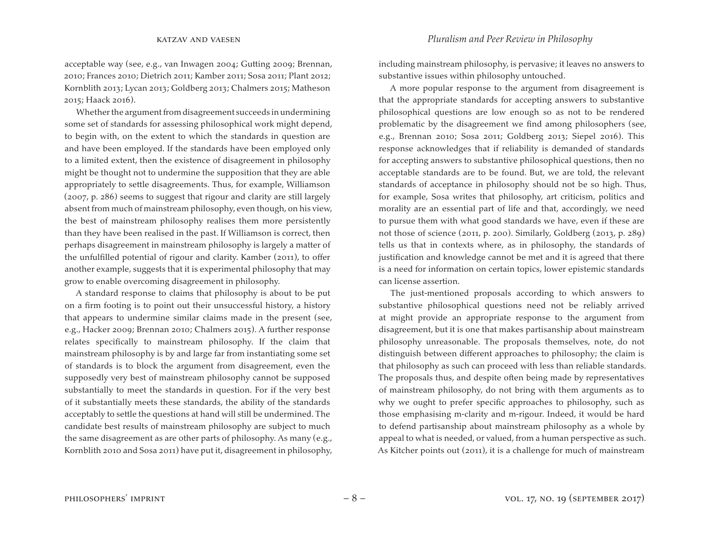acceptable way (see, e.g., van Inwagen 2004; Gutting 2009; Brennan, 2010; Frances 2010; Dietrich 2011; Kamber 2011; Sosa 2011; Plant 2012; Kornblith 2013; Lycan 2013; Goldberg 2013; Chalmers 2015; Matheson 2015; Haack 2016).

Whether the argument from disagreement succeeds in undermining some set of standards for assessing philosophical work might depend, to begin with, on the extent to which the standards in question are and have been employed. If the standards have been employed only to a limited extent, then the existence of disagreement in philosophy might be thought not to undermine the supposition that they are able appropriately to settle disagreements. Thus, for example, Williamson (2007, p. 286) seems to suggest that rigour and clarity are still largely absent from much of mainstream philosophy, even though, on his view, the best of mainstream philosophy realises them more persistently than they have been realised in the past. If Williamson is correct, then perhaps disagreement in mainstream philosophy is largely a matter of the unfulfilled potential of rigour and clarity. Kamber (2011), to offer another example, suggests that it is experimental philosophy that may grow to enable overcoming disagreement in philosophy.

A standard response to claims that philosophy is about to be put on a firm footing is to point out their unsuccessful history, a history that appears to undermine similar claims made in the present (see, e.g., Hacker 2009; Brennan 2010; Chalmers 2015). A further response relates specifically to mainstream philosophy. If the claim that mainstream philosophy is by and large far from instantiating some set of standards is to block the argument from disagreement, even the supposedly very best of mainstream philosophy cannot be supposed substantially to meet the standards in question. For if the very best of it substantially meets these standards, the ability of the standards acceptably to settle the questions at hand will still be undermined. The candidate best results of mainstream philosophy are subject to much the same disagreement as are other parts of philosophy. As many (e.g., Kornblith 2010 and Sosa 2011) have put it, disagreement in philosophy,

including mainstream philosophy, is pervasive; it leaves no answers to substantive issues within philosophy untouched.

A more popular response to the argument from disagreement is that the appropriate standards for accepting answers to substantive philosophical questions are low enough so as not to be rendered problematic by the disagreement we find among philosophers (see, e.g., Brennan 2010; Sosa 2011; Goldberg 2013; Siepel 2016). This response acknowledges that if reliability is demanded of standards for accepting answers to substantive philosophical questions, then no acceptable standards are to be found. But, we are told, the relevant standards of acceptance in philosophy should not be so high. Thus, for example, Sosa writes that philosophy, art criticism, politics and morality are an essential part of life and that, accordingly, we need to pursue them with what good standards we have, even if these are not those of science (2011, p. 200). Similarly, Goldberg (2013, p. 289) tells us that in contexts where, as in philosophy, the standards of justification and knowledge cannot be met and it is agreed that there is a need for information on certain topics, lower epistemic standards can license assertion.

The just-mentioned proposals according to which answers to substantive philosophical questions need not be reliably arrived at might provide an appropriate response to the argument from disagreement, but it is one that makes partisanship about mainstream philosophy unreasonable. The proposals themselves, note, do not distinguish between different approaches to philosophy; the claim is that philosophy as such can proceed with less than reliable standards. The proposals thus, and despite often being made by representatives of mainstream philosophy, do not bring with them arguments as to why we ought to prefer specific approaches to philosophy, such as those emphasising m-clarity and m-rigour. Indeed, it would be hard to defend partisanship about mainstream philosophy as a whole by appeal to what is needed, or valued, from a human perspective as such. As Kitcher points out (2011), it is a challenge for much of mainstream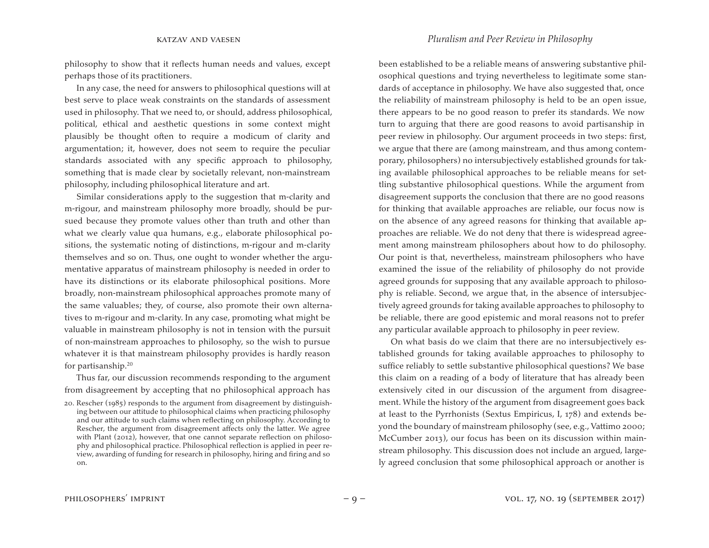philosophy to show that it reflects human needs and values, except perhaps those of its practitioners.

In any case, the need for answers to philosophical questions will at best serve to place weak constraints on the standards of assessment used in philosophy. That we need to, or should, address philosophical, political, ethical and aesthetic questions in some context might plausibly be thought often to require a modicum of clarity and argumentation; it, however, does not seem to require the peculiar standards associated with any specific approach to philosophy, something that is made clear by societally relevant, non-mainstream philosophy, including philosophical literature and art.

Similar considerations apply to the suggestion that m-clarity and m-rigour, and mainstream philosophy more broadly, should be pursued because they promote values other than truth and other than what we clearly value qua humans, e.g., elaborate philosophical positions, the systematic noting of distinctions, m-rigour and m-clarity themselves and so on. Thus, one ought to wonder whether the argumentative apparatus of mainstream philosophy is needed in order to have its distinctions or its elaborate philosophical positions. More broadly, non-mainstream philosophical approaches promote many of the same valuables; they, of course, also promote their own alternatives to m-rigour and m-clarity. In any case, promoting what might be valuable in mainstream philosophy is not in tension with the pursuit of non-mainstream approaches to philosophy, so the wish to pursue whatever it is that mainstream philosophy provides is hardly reason for partisanship.20

Thus far, our discussion recommends responding to the argument from disagreement by accepting that no philosophical approach has been established to be a reliable means of answering substantive philosophical questions and trying nevertheless to legitimate some standards of acceptance in philosophy. We have also suggested that, once the reliability of mainstream philosophy is held to be an open issue, there appears to be no good reason to prefer its standards. We now turn to arguing that there are good reasons to avoid partisanship in peer review in philosophy. Our argument proceeds in two steps: first, we argue that there are (among mainstream, and thus among contemporary, philosophers) no intersubjectively established grounds for taking available philosophical approaches to be reliable means for settling substantive philosophical questions. While the argument from disagreement supports the conclusion that there are no good reasons for thinking that available approaches are reliable, our focus now is on the absence of any agreed reasons for thinking that available approaches are reliable. We do not deny that there is widespread agreement among mainstream philosophers about how to do philosophy. Our point is that, nevertheless, mainstream philosophers who have examined the issue of the reliability of philosophy do not provide agreed grounds for supposing that any available approach to philosophy is reliable. Second, we argue that, in the absence of intersubjectively agreed grounds for taking available approaches to philosophy to be reliable, there are good epistemic and moral reasons not to prefer any particular available approach to philosophy in peer review.

On what basis do we claim that there are no intersubjectively established grounds for taking available approaches to philosophy to suffice reliably to settle substantive philosophical questions? We base this claim on a reading of a body of literature that has already been extensively cited in our discussion of the argument from disagreement. While the history of the argument from disagreement goes back at least to the Pyrrhonists (Sextus Empiricus, I, 178) and extends beyond the boundary of mainstream philosophy (see, e.g., Vattimo 2000; McCumber 2013), our focus has been on its discussion within mainstream philosophy. This discussion does not include an argued, largely agreed conclusion that some philosophical approach or another is

<sup>20.</sup> Rescher (1985) responds to the argument from disagreement by distinguishing between our attitude to philosophical claims when practicing philosophy and our attitude to such claims when reflecting on philosophy. According to Rescher, the argument from disagreement affects only the latter. We agree with Plant (2012), however, that one cannot separate reflection on philosophy and philosophical practice. Philosophical reflection is applied in peer review, awarding of funding for research in philosophy, hiring and firing and so on.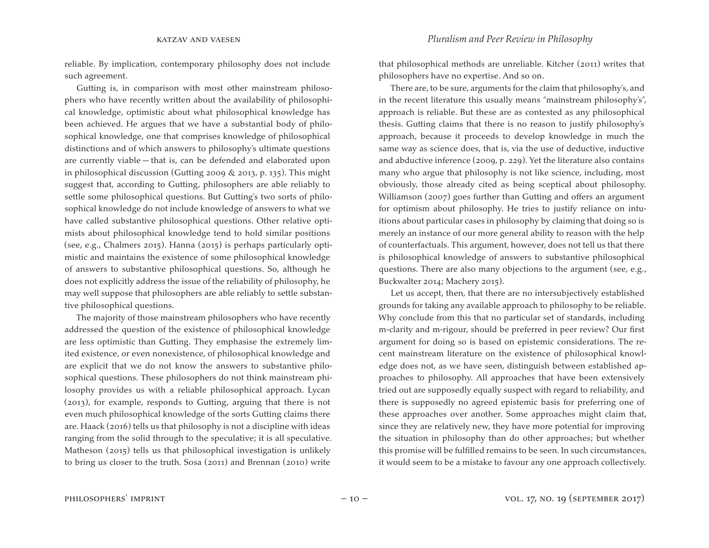reliable. By implication, contemporary philosophy does not include such agreement.

Gutting is, in comparison with most other mainstream philosophers who have recently written about the availability of philosophical knowledge, optimistic about what philosophical knowledge has been achieved. He argues that we have a substantial body of philosophical knowledge, one that comprises knowledge of philosophical distinctions and of which answers to philosophy's ultimate questions are currently viable — that is, can be defended and elaborated upon in philosophical discussion (Gutting 2009 & 2013, p. 135). This might suggest that, according to Gutting, philosophers are able reliably to settle some philosophical questions. But Gutting's two sorts of philosophical knowledge do not include knowledge of answers to what we have called substantive philosophical questions. Other relative optimists about philosophical knowledge tend to hold similar positions (see, e.g., Chalmers 2015). Hanna (2015) is perhaps particularly optimistic and maintains the existence of some philosophical knowledge of answers to substantive philosophical questions. So, although he does not explicitly address the issue of the reliability of philosophy, he may well suppose that philosophers are able reliably to settle substantive philosophical questions.

The majority of those mainstream philosophers who have recently addressed the question of the existence of philosophical knowledge are less optimistic than Gutting. They emphasise the extremely limited existence, or even nonexistence, of philosophical knowledge and are explicit that we do not know the answers to substantive philosophical questions. These philosophers do not think mainstream philosophy provides us with a reliable philosophical approach. Lycan (2013), for example, responds to Gutting, arguing that there is not even much philosophical knowledge of the sorts Gutting claims there are. Haack (2016) tells us that philosophy is not a discipline with ideas ranging from the solid through to the speculative; it is all speculative. Matheson (2015) tells us that philosophical investigation is unlikely to bring us closer to the truth. Sosa (2011) and Brennan (2010) write

that philosophical methods are unreliable. Kitcher (2011) writes that philosophers have no expertise. And so on.

There are, to be sure, arguments for the claim that philosophy's, and in the recent literature this usually means "mainstream philosophy's", approach is reliable. But these are as contested as any philosophical thesis. Gutting claims that there is no reason to justify philosophy's approach, because it proceeds to develop knowledge in much the same way as science does, that is, via the use of deductive, inductive and abductive inference (2009, p. 229). Yet the literature also contains many who argue that philosophy is not like science, including, most obviously, those already cited as being sceptical about philosophy. Williamson (2007) goes further than Gutting and offers an argument for optimism about philosophy. He tries to justify reliance on intuitions about particular cases in philosophy by claiming that doing so is merely an instance of our more general ability to reason with the help of counterfactuals. This argument, however, does not tell us that there is philosophical knowledge of answers to substantive philosophical questions. There are also many objections to the argument (see, e.g., Buckwalter 2014; Machery 2015).

Let us accept, then, that there are no intersubjectively established grounds for taking any available approach to philosophy to be reliable. Why conclude from this that no particular set of standards, including m-clarity and m-rigour, should be preferred in peer review? Our first argument for doing so is based on epistemic considerations. The recent mainstream literature on the existence of philosophical knowledge does not, as we have seen, distinguish between established approaches to philosophy. All approaches that have been extensively tried out are supposedly equally suspect with regard to reliability, and there is supposedly no agreed epistemic basis for preferring one of these approaches over another. Some approaches might claim that, since they are relatively new, they have more potential for improving the situation in philosophy than do other approaches; but whether this promise will be fulfilled remains to be seen. In such circumstances, it would seem to be a mistake to favour any one approach collectively.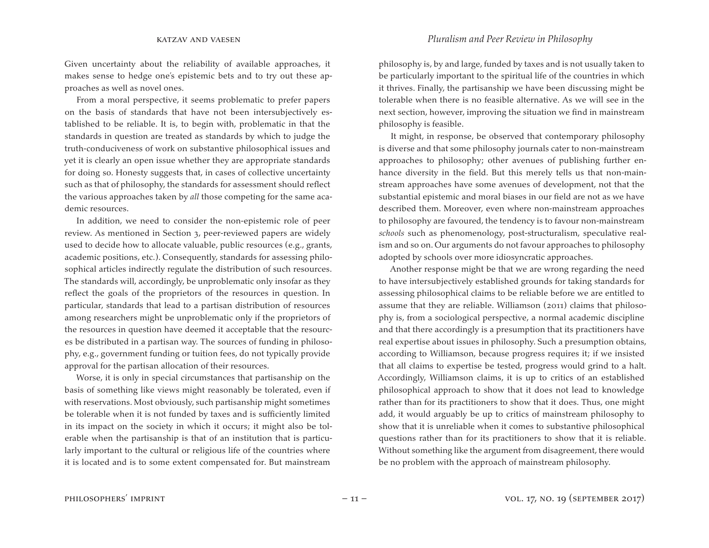Given uncertainty about the reliability of available approaches, it makes sense to hedge one's epistemic bets and to try out these approaches as well as novel ones.

From a moral perspective, it seems problematic to prefer papers on the basis of standards that have not been intersubjectively established to be reliable. It is, to begin with, problematic in that the standards in question are treated as standards by which to judge the truth-conduciveness of work on substantive philosophical issues and yet it is clearly an open issue whether they are appropriate standards for doing so. Honesty suggests that, in cases of collective uncertainty such as that of philosophy, the standards for assessment should reflect the various approaches taken by *all* those competing for the same academic resources.

In addition, we need to consider the non-epistemic role of peer review. As mentioned in Section 3, peer-reviewed papers are widely used to decide how to allocate valuable, public resources (e.g., grants, academic positions, etc.). Consequently, standards for assessing philosophical articles indirectly regulate the distribution of such resources. The standards will, accordingly, be unproblematic only insofar as they reflect the goals of the proprietors of the resources in question. In particular, standards that lead to a partisan distribution of resources among researchers might be unproblematic only if the proprietors of the resources in question have deemed it acceptable that the resources be distributed in a partisan way. The sources of funding in philosophy, e.g., government funding or tuition fees, do not typically provide approval for the partisan allocation of their resources.

Worse, it is only in special circumstances that partisanship on the basis of something like views might reasonably be tolerated, even if with reservations. Most obviously, such partisanship might sometimes be tolerable when it is not funded by taxes and is sufficiently limited in its impact on the society in which it occurs; it might also be tolerable when the partisanship is that of an institution that is particularly important to the cultural or religious life of the countries where it is located and is to some extent compensated for. But mainstream

philosophy is, by and large, funded by taxes and is not usually taken to be particularly important to the spiritual life of the countries in which it thrives. Finally, the partisanship we have been discussing might be tolerable when there is no feasible alternative. As we will see in the next section, however, improving the situation we find in mainstream philosophy is feasible.

It might, in response, be observed that contemporary philosophy is diverse and that some philosophy journals cater to non-mainstream approaches to philosophy; other avenues of publishing further enhance diversity in the field. But this merely tells us that non-mainstream approaches have some avenues of development, not that the substantial epistemic and moral biases in our field are not as we have described them. Moreover, even where non-mainstream approaches to philosophy are favoured, the tendency is to favour non-mainstream *schools* such as phenomenology, post-structuralism, speculative realism and so on. Our arguments do not favour approaches to philosophy adopted by schools over more idiosyncratic approaches.

Another response might be that we are wrong regarding the need to have intersubjectively established grounds for taking standards for assessing philosophical claims to be reliable before we are entitled to assume that they are reliable. Williamson (2011) claims that philosophy is, from a sociological perspective, a normal academic discipline and that there accordingly is a presumption that its practitioners have real expertise about issues in philosophy. Such a presumption obtains, according to Williamson, because progress requires it; if we insisted that all claims to expertise be tested, progress would grind to a halt. Accordingly, Williamson claims, it is up to critics of an established philosophical approach to show that it does not lead to knowledge rather than for its practitioners to show that it does. Thus, one might add, it would arguably be up to critics of mainstream philosophy to show that it is unreliable when it comes to substantive philosophical questions rather than for its practitioners to show that it is reliable. Without something like the argument from disagreement, there would be no problem with the approach of mainstream philosophy.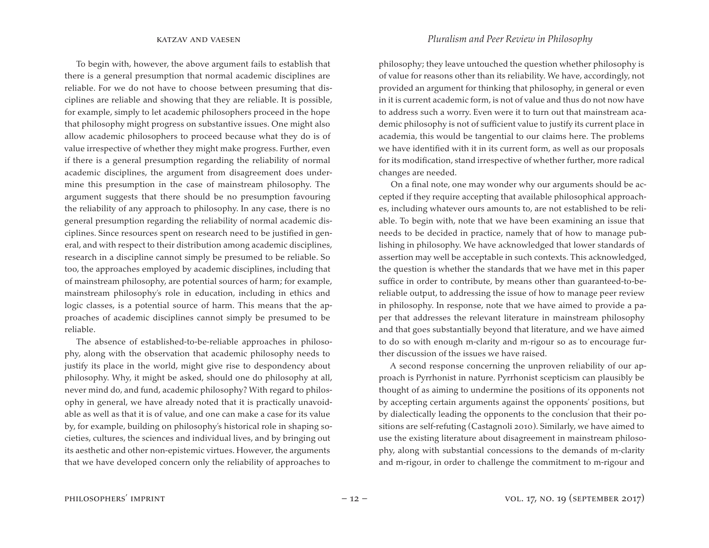To begin with, however, the above argument fails to establish that there is a general presumption that normal academic disciplines are reliable. For we do not have to choose between presuming that disciplines are reliable and showing that they are reliable. It is possible, for example, simply to let academic philosophers proceed in the hope that philosophy might progress on substantive issues. One might also allow academic philosophers to proceed because what they do is of value irrespective of whether they might make progress. Further, even if there is a general presumption regarding the reliability of normal academic disciplines, the argument from disagreement does undermine this presumption in the case of mainstream philosophy. The argument suggests that there should be no presumption favouring the reliability of any approach to philosophy. In any case, there is no general presumption regarding the reliability of normal academic disciplines. Since resources spent on research need to be justified in general, and with respect to their distribution among academic disciplines, research in a discipline cannot simply be presumed to be reliable. So too, the approaches employed by academic disciplines, including that of mainstream philosophy, are potential sources of harm; for example, mainstream philosophy's role in education, including in ethics and logic classes, is a potential source of harm. This means that the approaches of academic disciplines cannot simply be presumed to be reliable.

The absence of established-to-be-reliable approaches in philosophy, along with the observation that academic philosophy needs to justify its place in the world, might give rise to despondency about philosophy. Why, it might be asked, should one do philosophy at all, never mind do, and fund, academic philosophy? With regard to philosophy in general, we have already noted that it is practically unavoidable as well as that it is of value, and one can make a case for its value by, for example, building on philosophy's historical role in shaping societies, cultures, the sciences and individual lives, and by bringing out its aesthetic and other non-epistemic virtues. However, the arguments that we have developed concern only the reliability of approaches to

philosophy; they leave untouched the question whether philosophy is of value for reasons other than its reliability. We have, accordingly, not provided an argument for thinking that philosophy, in general or even in it is current academic form, is not of value and thus do not now have to address such a worry. Even were it to turn out that mainstream academic philosophy is not of sufficient value to justify its current place in academia, this would be tangential to our claims here. The problems we have identified with it in its current form, as well as our proposals for its modification, stand irrespective of whether further, more radical changes are needed.

On a final note, one may wonder why our arguments should be accepted if they require accepting that available philosophical approaches, including whatever ours amounts to, are not established to be reliable. To begin with, note that we have been examining an issue that needs to be decided in practice, namely that of how to manage publishing in philosophy. We have acknowledged that lower standards of assertion may well be acceptable in such contexts. This acknowledged, the question is whether the standards that we have met in this paper suffice in order to contribute, by means other than guaranteed-to-bereliable output, to addressing the issue of how to manage peer review in philosophy. In response, note that we have aimed to provide a paper that addresses the relevant literature in mainstream philosophy and that goes substantially beyond that literature, and we have aimed to do so with enough m-clarity and m-rigour so as to encourage further discussion of the issues we have raised.

A second response concerning the unproven reliability of our approach is Pyrrhonist in nature. Pyrrhonist scepticism can plausibly be thought of as aiming to undermine the positions of its opponents not by accepting certain arguments against the opponents' positions, but by dialectically leading the opponents to the conclusion that their positions are self-refuting (Castagnoli 2010). Similarly, we have aimed to use the existing literature about disagreement in mainstream philosophy, along with substantial concessions to the demands of m-clarity and m-rigour, in order to challenge the commitment to m-rigour and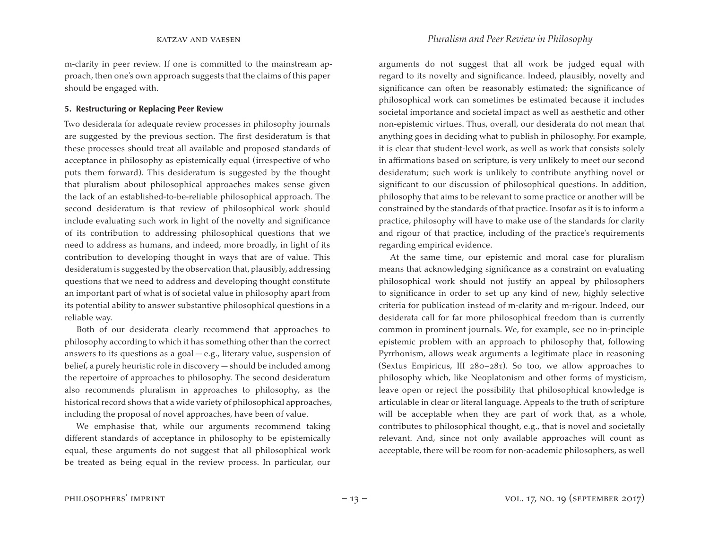m-clarity in peer review. If one is committed to the mainstream approach, then one's own approach suggests that the claims of this paper should be engaged with.

# **5. Restructuring or Replacing Peer Review**

Two desiderata for adequate review processes in philosophy journals are suggested by the previous section. The first desideratum is that these processes should treat all available and proposed standards of acceptance in philosophy as epistemically equal (irrespective of who puts them forward). This desideratum is suggested by the thought that pluralism about philosophical approaches makes sense given the lack of an established-to-be-reliable philosophical approach. The second desideratum is that review of philosophical work should include evaluating such work in light of the novelty and significance of its contribution to addressing philosophical questions that we need to address as humans, and indeed, more broadly, in light of its contribution to developing thought in ways that are of value. This desideratum is suggested by the observation that, plausibly, addressing questions that we need to address and developing thought constitute an important part of what is of societal value in philosophy apart from its potential ability to answer substantive philosophical questions in a reliable way.

Both of our desiderata clearly recommend that approaches to philosophy according to which it has something other than the correct answers to its questions as a goal  $-e.g.,$  literary value, suspension of belief, a purely heuristic role in discovery — should be included among the repertoire of approaches to philosophy. The second desideratum also recommends pluralism in approaches to philosophy, as the historical record shows that a wide variety of philosophical approaches, including the proposal of novel approaches, have been of value.

We emphasise that, while our arguments recommend taking different standards of acceptance in philosophy to be epistemically equal, these arguments do not suggest that all philosophical work be treated as being equal in the review process. In particular, our

arguments do not suggest that all work be judged equal with regard to its novelty and significance. Indeed, plausibly, novelty and significance can often be reasonably estimated; the significance of philosophical work can sometimes be estimated because it includes societal importance and societal impact as well as aesthetic and other non-epistemic virtues. Thus, overall, our desiderata do not mean that anything goes in deciding what to publish in philosophy. For example, it is clear that student-level work, as well as work that consists solely in affirmations based on scripture, is very unlikely to meet our second desideratum; such work is unlikely to contribute anything novel or significant to our discussion of philosophical questions. In addition, philosophy that aims to be relevant to some practice or another will be constrained by the standards of that practice. Insofar as it is to inform a practice, philosophy will have to make use of the standards for clarity and rigour of that practice, including of the practice's requirements regarding empirical evidence.

At the same time, our epistemic and moral case for pluralism means that acknowledging significance as a constraint on evaluating philosophical work should not justify an appeal by philosophers to significance in order to set up any kind of new, highly selective criteria for publication instead of m-clarity and m-rigour. Indeed, our desiderata call for far more philosophical freedom than is currently common in prominent journals. We, for example, see no in-principle epistemic problem with an approach to philosophy that, following Pyrrhonism, allows weak arguments a legitimate place in reasoning (Sextus Empiricus, III 280–281). So too, we allow approaches to philosophy which, like Neoplatonism and other forms of mysticism, leave open or reject the possibility that philosophical knowledge is articulable in clear or literal language. Appeals to the truth of scripture will be acceptable when they are part of work that, as a whole, contributes to philosophical thought, e.g., that is novel and societally relevant. And, since not only available approaches will count as acceptable, there will be room for non-academic philosophers, as well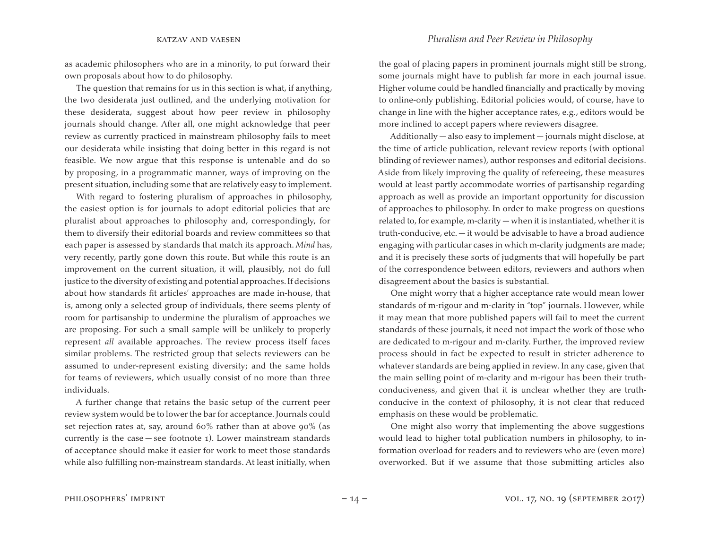as academic philosophers who are in a minority, to put forward their own proposals about how to do philosophy.

The question that remains for us in this section is what, if anything, the two desiderata just outlined, and the underlying motivation for these desiderata, suggest about how peer review in philosophy journals should change. After all, one might acknowledge that peer review as currently practiced in mainstream philosophy fails to meet our desiderata while insisting that doing better in this regard is not feasible. We now argue that this response is untenable and do so by proposing, in a programmatic manner, ways of improving on the present situation, including some that are relatively easy to implement.

With regard to fostering pluralism of approaches in philosophy, the easiest option is for journals to adopt editorial policies that are pluralist about approaches to philosophy and, correspondingly, for them to diversify their editorial boards and review committees so that each paper is assessed by standards that match its approach. *Mind* has, very recently, partly gone down this route. But while this route is an improvement on the current situation, it will, plausibly, not do full justice to the diversity of existing and potential approaches. If decisions about how standards fit articles' approaches are made in-house, that is, among only a selected group of individuals, there seems plenty of room for partisanship to undermine the pluralism of approaches we are proposing. For such a small sample will be unlikely to properly represent *all* available approaches. The review process itself faces similar problems. The restricted group that selects reviewers can be assumed to under-represent existing diversity; and the same holds for teams of reviewers, which usually consist of no more than three individuals.

A further change that retains the basic setup of the current peer review system would be to lower the bar for acceptance. Journals could set rejection rates at, say, around 60% rather than at above 90% (as currently is the case  $-$  see footnote 1). Lower mainstream standards of acceptance should make it easier for work to meet those standards while also fulfilling non-mainstream standards. At least initially, when the goal of placing papers in prominent journals might still be strong, some journals might have to publish far more in each journal issue. Higher volume could be handled financially and practically by moving to online-only publishing. Editorial policies would, of course, have to change in line with the higher acceptance rates, e.g., editors would be more inclined to accept papers where reviewers disagree.

Additionally — also easy to implement — journals might disclose, at the time of article publication, relevant review reports (with optional blinding of reviewer names), author responses and editorial decisions. Aside from likely improving the quality of refereeing, these measures would at least partly accommodate worries of partisanship regarding approach as well as provide an important opportunity for discussion of approaches to philosophy. In order to make progress on questions related to, for example, m-clarity  $-$  when it is instantiated, whether it is truth-conducive, etc.— it would be advisable to have a broad audience engaging with particular cases in which m-clarity judgments are made; and it is precisely these sorts of judgments that will hopefully be part of the correspondence between editors, reviewers and authors when disagreement about the basics is substantial.

One might worry that a higher acceptance rate would mean lower standards of m-rigour and m-clarity in "top" journals. However, while it may mean that more published papers will fail to meet the current standards of these journals, it need not impact the work of those who are dedicated to m-rigour and m-clarity. Further, the improved review process should in fact be expected to result in stricter adherence to whatever standards are being applied in review. In any case, given that the main selling point of m-clarity and m-rigour has been their truthconduciveness, and given that it is unclear whether they are truthconducive in the context of philosophy, it is not clear that reduced emphasis on these would be problematic.

One might also worry that implementing the above suggestions would lead to higher total publication numbers in philosophy, to information overload for readers and to reviewers who are (even more) overworked. But if we assume that those submitting articles also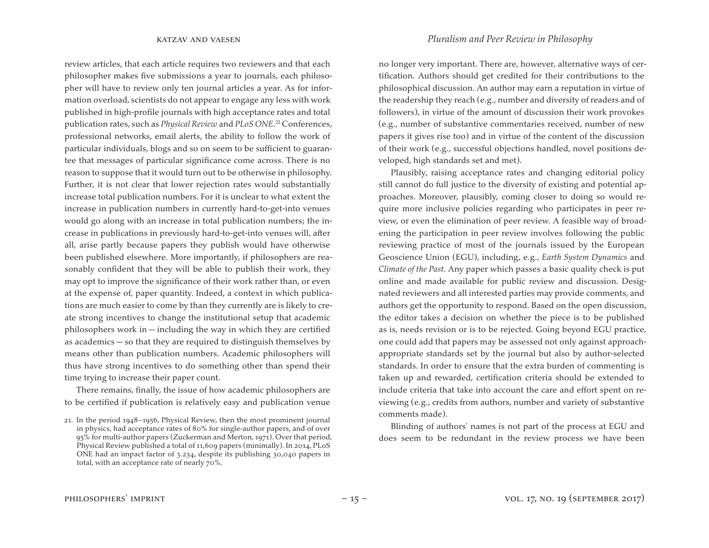review articles, that each article requires two reviewers and that each philosopher makes five submissions a year to journals, each philosopher will have to review only ten journal articles a year. As for information overload, scientists do not appear to engage any less with work published in high-profile journals with high acceptance rates and total publication rates, such as *Physical Review* and *PLoS ONE*. <sup>21</sup> Conferences, professional networks, email alerts, the ability to follow the work of particular individuals, blogs and so on seem to be sufficient to guarantee that messages of particular significance come across. There is no reason to suppose that it would turn out to be otherwise in philosophy. Further, it is not clear that lower rejection rates would substantially increase total publication numbers. For it is unclear to what extent the increase in publication numbers in currently hard-to-get-into venues would go along with an increase in total publication numbers; the increase in publications in previously hard-to-get-into venues will, after all, arise partly because papers they publish would have otherwise been published elsewhere. More importantly, if philosophers are reasonably confident that they will be able to publish their work, they may opt to improve the significance of their work rather than, or even at the expense of, paper quantity. Indeed, a context in which publications are much easier to come by than they currently are is likely to create strong incentives to change the institutional setup that academic  $philosophers$  work in  $-$  including the way in which they are certified as academics — so that they are required to distinguish themselves by means other than publication numbers. Academic philosophers will thus have strong incentives to do something other than spend their time trying to increase their paper count.

There remains, finally, the issue of how academic philosophers are to be certified if publication is relatively easy and publication venue no longer very important. There are, however, alternative ways of certification. Authors should get credited for their contributions to the philosophical discussion. An author may earn a reputation in virtue of the readership they reach (e.g., number and diversity of readers and of followers), in virtue of the amount of discussion their work provokes (e.g., number of substantive commentaries received, number of new papers it gives rise too) and in virtue of the content of the discussion of their work (e.g., successful objections handled, novel positions developed, high standards set and met).

Plausibly, raising acceptance rates and changing editorial policy still cannot do full justice to the diversity of existing and potential approaches. Moreover, plausibly, coming closer to doing so would require more inclusive policies regarding who participates in peer review, or even the elimination of peer review. A feasible way of broadening the participation in peer review involves following the public reviewing practice of most of the journals issued by the European Geoscience Union (EGU), including, e.g., *Earth System Dynamics* and *Climate of the Past*. Any paper which passes a basic quality check is put online and made available for public review and discussion. Designated reviewers and all interested parties may provide comments, and authors get the opportunity to respond. Based on the open discussion, the editor takes a decision on whether the piece is to be published as is, needs revision or is to be rejected. Going beyond EGU practice, one could add that papers may be assessed not only against approachappropriate standards set by the journal but also by author-selected standards. In order to ensure that the extra burden of commenting is taken up and rewarded, certification criteria should be extended to include criteria that take into account the care and effort spent on reviewing (e.g., credits from authors, number and variety of substantive comments made).

Blinding of authors' names is not part of the process at EGU and does seem to be redundant in the review process we have been

<sup>21.</sup> In the period 1948–1956, Physical Review, then the most prominent journal in physics, had acceptance rates of 80% for single-author papers, and of over 95% for multi-author papers (Zuckerman and Merton, 1971). Over that period, Physical Review published a total of 11,609 papers (minimally). In 2014, PLoS ONE had an impact factor of 3.234, despite its publishing 30,040 papers in total, with an acceptance rate of nearly 70%.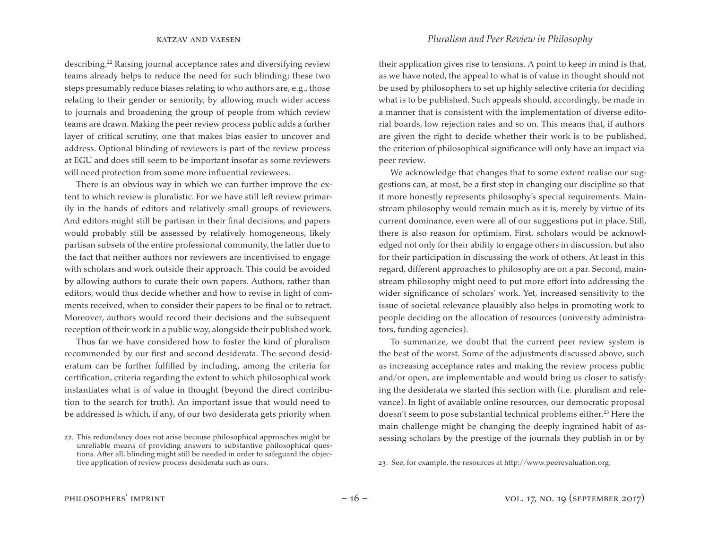describing.<sup>22</sup> Raising journal acceptance rates and diversifying review teams already helps to reduce the need for such blinding; these two steps presumably reduce biases relating to who authors are, e.g., those relating to their gender or seniority, by allowing much wider access to journals and broadening the group of people from which review teams are drawn. Making the peer review process public adds a further layer of critical scrutiny, one that makes bias easier to uncover and address. Optional blinding of reviewers is part of the review process at EGU and does still seem to be important insofar as some reviewers will need protection from some more influential reviewees.

There is an obvious way in which we can further improve the extent to which review is pluralistic. For we have still left review primarily in the hands of editors and relatively small groups of reviewers. And editors might still be partisan in their final decisions, and papers would probably still be assessed by relatively homogeneous, likely partisan subsets of the entire professional community, the latter due to the fact that neither authors nor reviewers are incentivised to engage with scholars and work outside their approach. This could be avoided by allowing authors to curate their own papers. Authors, rather than editors, would thus decide whether and how to revise in light of comments received, when to consider their papers to be final or to retract. Moreover, authors would record their decisions and the subsequent reception of their work in a public way, alongside their published work.

Thus far we have considered how to foster the kind of pluralism recommended by our first and second desiderata. The second desideratum can be further fulfilled by including, among the criteria for certification, criteria regarding the extent to which philosophical work instantiates what is of value in thought (beyond the direct contribution to the search for truth). An important issue that would need to be addressed is which, if any, of our two desiderata gets priority when

their application gives rise to tensions. A point to keep in mind is that, as we have noted, the appeal to what is of value in thought should not be used by philosophers to set up highly selective criteria for deciding what is to be published. Such appeals should, accordingly, be made in a manner that is consistent with the implementation of diverse editorial boards, low rejection rates and so on. This means that, if authors are given the right to decide whether their work is to be published, the criterion of philosophical significance will only have an impact via peer review.

We acknowledge that changes that to some extent realise our suggestions can, at most, be a first step in changing our discipline so that it more honestly represents philosophy's special requirements. Mainstream philosophy would remain much as it is, merely by virtue of its current dominance, even were all of our suggestions put in place. Still, there is also reason for optimism. First, scholars would be acknowledged not only for their ability to engage others in discussion, but also for their participation in discussing the work of others. At least in this regard, different approaches to philosophy are on a par. Second, mainstream philosophy might need to put more effort into addressing the wider significance of scholars' work. Yet, increased sensitivity to the issue of societal relevance plausibly also helps in promoting work to people deciding on the allocation of resources (university administrators, funding agencies).

To summarize, we doubt that the current peer review system is the best of the worst. Some of the adjustments discussed above, such as increasing acceptance rates and making the review process public and/or open, are implementable and would bring us closer to satisfying the desiderata we started this section with (i.e. pluralism and relevance). In light of available online resources, our democratic proposal doesn't seem to pose substantial technical problems either.<sup>23</sup> Here the main challenge might be changing the deeply ingrained habit of assessing scholars by the prestige of the journals they publish in or by

23. See, for example, the resources at [http](http://www.peerevaluation.org/)[://](http://www.peerevaluation.org/)[www](http://www.peerevaluation.org/)[.peerevaluation.org](http://www.peerevaluation.org/).

<sup>22.</sup> This redundancy does not arise because philosophical approaches might be unreliable means of providing answers to substantive philosophical questions. After all, blinding might still be needed in order to safeguard the objective application of review process desiderata such as ours.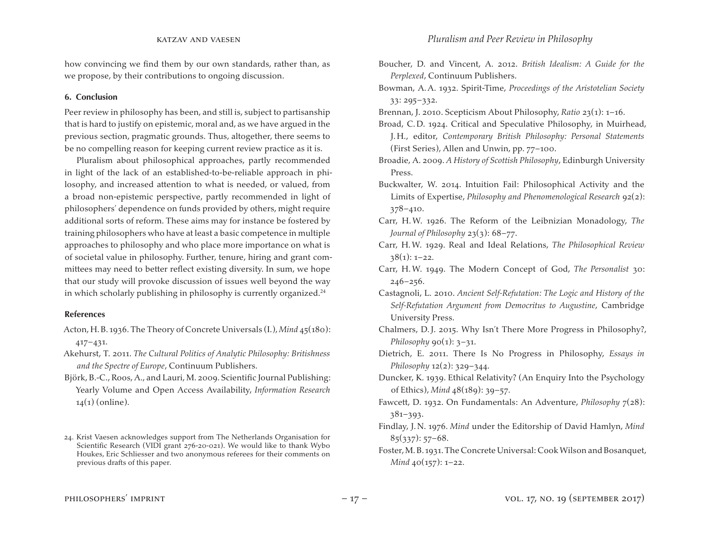how convincing we find them by our own standards, rather than, as we propose, by their contributions to ongoing discussion.

# **6. Conclusion**

Peer review in philosophy has been, and still is, subject to partisanship that is hard to justify on epistemic, moral and, as we have argued in the previous section, pragmatic grounds. Thus, altogether, there seems to be no compelling reason for keeping current review practice as it is.

Pluralism about philosophical approaches, partly recommended in light of the lack of an established-to-be-reliable approach in philosophy, and increased attention to what is needed, or valued, from a broad non-epistemic perspective, partly recommended in light of philosophers' dependence on funds provided by others, might require additional sorts of reform. These aims may for instance be fostered by training philosophers who have at least a basic competence in multiple approaches to philosophy and who place more importance on what is of societal value in philosophy. Further, tenure, hiring and grant committees may need to better reflect existing diversity. In sum, we hope that our study will provoke discussion of issues well beyond the way in which scholarly publishing in philosophy is currently organized. $24$ 

# **References**

- Acton, H.B. 1936.The Theory of Concrete Universals (I.),*Mind* 45(180): 417–431.
- Akehurst, T. 2011. *The Cultural Politics of Analytic Philosophy: Britishness and the Spectre of Europe*, Continuum Publishers.
- Björk, B.-C.,Roos, A., and Lauri, M. 2009. Scientific Journal Publishing: Yearly Volume and Open Access Availability, *Information Research*  $14(1)$  (online).
- Boucher, D. and Vincent, A. 2012. *British Idealism: A Guide for the Perplexed*, Continuum Publishers.
- Bowman, A.A. 1932. Spirit-Time, *Proceedings of the Aristotelian Society* 33: 295–332.
- Brennan, J. 2010. Scepticism About Philosophy, *Ratio* 23(1): 1–16.
- Broad, C.D. 1924. Critical and Speculative Philosophy, in Muirhead, J. H., editor, *Contemporary British Philosophy: Personal Statements*  (First Series), Allen and Unwin, pp. 77–100.
- Broadie, A. 2009. *A History of Scottish Philosophy*, Edinburgh University Press.
- Buckwalter, W. 2014. Intuition Fail: Philosophical Activity and the Limits of Expertise, *Philosophy and Phenomenological Research* 92(2): 378–410.
- Carr, H.W. 1926. The Reform of the Leibnizian Monadology, *The Journal of Philosophy* 23(3): 68–77.
- Carr, H.W. 1929. Real and Ideal Relations, *The Philosophical Review*  $38(1): 1-22.$
- Carr, H.W. 1949. The Modern Concept of God, *The Personalist* 30: 246–256.
- Castagnoli, L. 2010. *Ancient Self-Refutation: The Logic and History of the Self-Refutation Argument from Democritus to Augustine*, Cambridge University Press.
- Chalmers, D.J. 2015. Why Isn't There More Progress in Philosophy?, *Philosophy*  $90(1)$ :  $3-31$ .
- Dietrich, E. 2011. There Is No Progress in Philosophy, *Essays in Philosophy* 12(2): 329–344.
- Duncker, K. 1939. Ethical Relativity? (An Enquiry Into the Psychology of Ethics), *Mind* 48(189): 39–57.
- Fawcett, D. 1932. On Fundamentals: An Adventure, *Philosophy* 7(28): 381–393.
- Findlay, J.N. 1976. *Mind* under the Editorship of David Hamlyn, *Mind*  $85(337)$ : 57–68.
- Foster, M.B. 1931. The Concrete Universal: Cook Wilson and Bosanquet, *Mind* 40(157): 1–22.

<sup>24.</sup> Krist Vaesen acknowledges support from The Netherlands Organisation for Scientific Research (VIDI grant 276-20-021). We would like to thank Wybo Houkes, Eric Schliesser and two anonymous referees for their comments on previous drafts of this paper.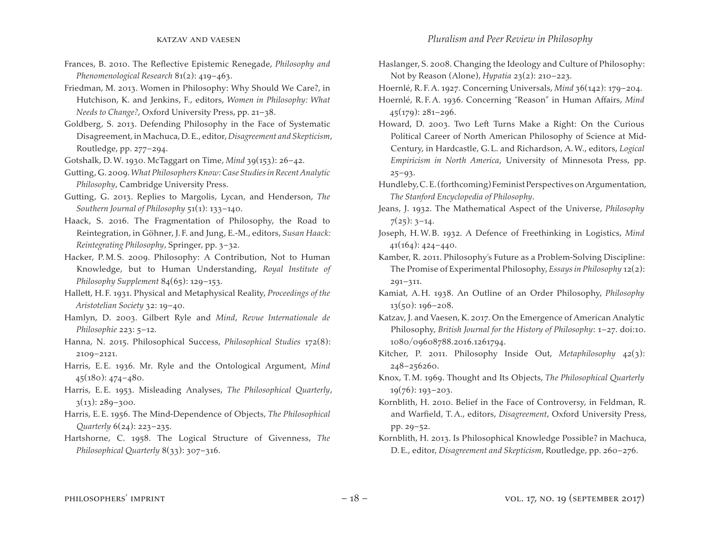- Frances, B. 2010. The Reflective Epistemic Renegade, *Philosophy and Phenomenological Research* 81(2): 419–463.
- Friedman, M. 2013. Women in Philosophy: Why Should We Care?, in Hutchison, K. and Jenkins, F., editors, *Women in Philosophy: What Needs to Change?*, Oxford University Press, pp. 21–38.
- Goldberg, S. 2013. Defending Philosophy in the Face of Systematic Disagreement, in Machuca,D.E., editor,*Disagreement and Skepticism*, Routledge, pp. 277–294.

Gotshalk, D.W. 1930. McTaggart on Time, *Mind* 39(153): 26–42.

- Gutting,G. 2009.*What Philosophers Know: Case Studies in Recent Analytic Philosophy*, Cambridge University Press.
- Gutting, G. 2013. Replies to Margolis, Lycan, and Henderson, *The Southern Journal of Philosophy* 51(1): 133–140.
- Haack, S. 2016. The Fragmentation of Philosophy, the Road to Reintegration, in Göhner, J. F. and Jung, E.-M., editors, *Susan Haack: Reintegrating Philosophy*, Springer, pp. 3–32.
- Hacker, P.M.S. 2009. Philosophy: A Contribution, Not to Human Knowledge, but to Human Understanding, *Royal Institute of Philosophy Supplement* 84(65): 129–153.
- Hallett, H. F. 1931. Physical and Metaphysical Reality, *Proceedings of the Aristotelian Society* 32: 19–40.
- Hamlyn, D. 2003. Gilbert Ryle and *Mind*, *Revue Internationale de Philosophie* 223: 5–12.
- Hanna, N. 2015. Philosophical Success, *Philosophical Studies* 172(8): 2109–2121.
- Harris, E.E. 1936. Mr. Ryle and the Ontological Argument, *Mind* 45(180): 474–480.
- Harris, E.E. 1953. Misleading Analyses, *The Philosophical Quarterly*,  $3(13): 289 - 300.$
- Harris, E.E. 1956. The Mind-Dependence of Objects, *The Philosophical Quarterly* 6(24): 223–235.
- Hartshorne, C. 1958. The Logical Structure of Givenness, *The Philosophical Quarterly* 8(33): 307–316.
- Haslanger, S. 2008. Changing the Ideology and Culture of Philosophy: Not by Reason (Alone), *Hypatia* 23(2): 210–223.
- Hoernlé, R. F.A. 1927. Concerning Universals, *Mind* 36(142): 179–204.
- Hoernlé, R. F.A. 1936. Concerning "Reason" in Human Affairs, *Mind*  45(179): 281–296.
- Howard, D. 2003. Two Left Turns Make a Right: On the Curious Political Career of North American Philosophy of Science at Mid-Century, in Hardcastle, G.L. and Richardson, A.W., editors, *Logical Empiricism in North America*, University of Minnesota Press, pp. 25–93.
- Hundleby, C.E. (forthcoming) Feminist Perspectives on Argumentation, *The Stanford Encyclopedia of Philosophy*.
- Jeans, J. 1932. The Mathematical Aspect of the Universe, *Philosophy*  $7(25): 3-14.$
- Joseph, H.W.B. 1932. A Defence of Freethinking in Logistics, *Mind* 41(164): 424–440.
- Kamber, R. 2011. Philosophy's Future as a Problem-Solving Discipline: The Promise of Experimental Philosophy, *Essays in Philosophy* 12(2): 291–311.
- Kamiat, A. H. 1938. An Outline of an Order Philosophy, *Philosophy* 13(50): 196–208.
- Katzav, J. and Vaesen, K. 2017. On the Emergence of American Analytic Philosophy, *British Journal for the History of Philosophy*: 1–27. doi:10. 1080/09608788.2016.1261794.
- Kitcher, P. 2011. Philosophy Inside Out, *Metaphilosophy* 42(3): 248–256260.
- Knox, T.M. 1969. Thought and Its Objects, *The Philosophical Quarterly*  $19(76)$ : 193-203.
- Kornblith, H. 2010. Belief in the Face of Controversy, in Feldman, R. and Warfield, T.A., editors, *Disagreement*, Oxford University Press, pp. 29–52.
- Kornblith, H. 2013. Is Philosophical Knowledge Possible? in Machuca, D.E., editor, *Disagreement and Skepticism*, Routledge, pp. 260–276.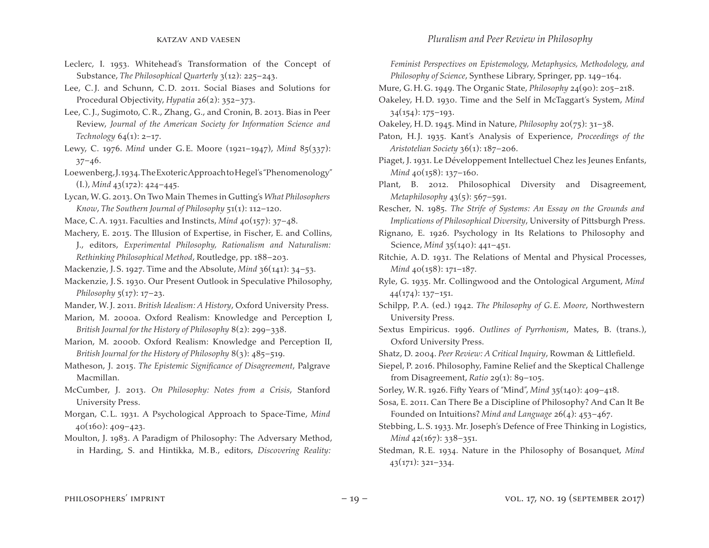- Leclerc, I. 1953. Whitehead's Transformation of the Concept of Substance, *The Philosophical Quarterly* 3(12): 225–243.
- Lee, C.J. and Schunn, C.D. 2011. Social Biases and Solutions for Procedural Objectivity, *Hypatia* 26(2): 352–373.
- Lee, C.J., Sugimoto, C.R., Zhang, G., and Cronin, B. 2013. Bias in Peer Review, *Journal of the American Society for Information Science and Technology* 64(1): 2–17.
- Lewy, C. 1976. *Mind* under G.E. Moore (1921–1947), *Mind* 85(337):  $37 - 46.$
- Loewenberg,J.1934.TheExotericApproachtoHegel's"Phenomenology" (I.), *Mind* 43(172): 424–445.
- Lycan,W.G. 2013. On Two Main Themes in Gutting's *What Philosophers Know*, *The Southern Journal of Philosophy* 51(1): 112–120.
- Mace, C.A. 1931. Faculties and Instincts, *Mind* 40(157): 37–48.
- Machery, E. 2015. The Illusion of Expertise, in Fischer, E. and Collins,
- J., editors, *Experimental Philosophy, Rationalism and Naturalism: Rethinking Philosophical Method*, Routledge, pp. 188–203.
- Mackenzie, J.S. 1927. Time and the Absolute, *Mind* 36(141): 34–53.

Mackenzie, J.S. 1930. Our Present Outlook in Speculative Philosophy, *Philosophy* 5(17): 17–23.

- Mander, W.J. 2011. *British Idealism: A History*, Oxford University Press.
- Marion, M. 2000a. Oxford Realism: Knowledge and Perception I, *British Journal for the History of Philosophy* 8(2): 299–338.
- Marion, M. 2000b. Oxford Realism: Knowledge and Perception II, *British Journal for the History of Philosophy* 8(3): 485–519.
- Matheson, J. 2015. *The Epistemic Significance of Disagreement*, Palgrave Macmillan.
- McCumber, J. 2013. *On Philosophy: Notes from a Crisis*, Stanford University Press.
- Morgan, C.L. 1931. A Psychological Approach to Space-Time, *Mind* 40(160): 409–423.
- Moulton, J. 1983. A Paradigm of Philosophy: The Adversary Method, in Harding, S. and Hintikka, M.B., editors, *Discovering Reality:*

*Feminist Perspectives on Epistemology, Metaphysics, Methodology, and Philosophy of Science*, Synthese Library, Springer, pp. 149–164.

Mure, G. H.G. 1949. The Organic State, *Philosophy* 24(90): 205–218.

- Oakeley, H.D. 1930. Time and the Self in McTaggart's System, *Mind*   $34(154): 175-193.$
- Oakeley, H.D. 1945. Mind in Nature, *Philosophy* 20(75): 31–38.
- Paton, H.J. 1935. Kant's Analysis of Experience, *Proceedings of the Aristotelian Society* 36(1): 187–206.
- Piaget, J. 1931. Le Développement Intellectuel Chez les Jeunes Enfants, *Mind* 40(158): 137-160.
- Plant, B. 2012. Philosophical Diversity and Disagreement, *Metaphilosophy* 43(5): 567–591.
- Rescher, N. 1985. *The Strife of Systems: An Essay on the Grounds and Implications of Philosophical Diversity*, University of Pittsburgh Press.
- Rignano, E. 1926. Psychology in Its Relations to Philosophy and Science, *Mind* 35(140): 441–451.
- Ritchie, A.D. 1931. The Relations of Mental and Physical Processes, *Mind* 40(158): 171–187.
- Ryle, G. 1935. Mr. Collingwood and the Ontological Argument, *Mind*  $44(174): 137-151.$
- Schilpp, P.A. (ed.) 1942. *The Philosophy of G.E. Moore*, Northwestern University Press.
- Sextus Empiricus. 1996. *Outlines of Pyrrhonism*, Mates, B. (trans.), Oxford University Press.
- Shatz, D. 2004. *Peer Review: A Critical Inquiry*, Rowman & Littlefield.
- Siepel, P. 2016. Philosophy, Famine Relief and the Skeptical Challenge from Disagreement, *Ratio* 29(1): 89–105.
- Sorley, W.R. 1926. Fifty Years of "Mind", *Mind* 35(140): 409–418.
- Sosa, E. 2011. Can There Be a Discipline of Philosophy? And Can It Be Founded on Intuitions? *Mind and Language* 26(4): 453–467.
- Stebbing, L.S. 1933. Mr. Joseph's Defence of Free Thinking in Logistics, *Mind* 42(167): 338–351.
- Stedman, R.E. 1934. Nature in the Philosophy of Bosanquet, *Mind*   $43(171): 321-334.$